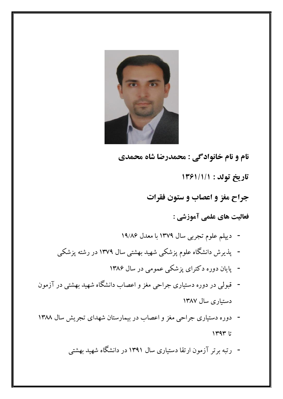

**نام و نام خانوادگی : محمدرضا شاه محمدی تاریخ تولد : 1361/1/1 جراح مغز و اعصاب و ستون فقرات فعالیت های علمی آموزشی :** - دیپلم علوم تجربی سال 1379 با معدل 19/86 - پذیرش دانشگاه علوم پزشکی شهید بهشتی سال 1379 در رشته پزشکی - پایان دوره دکترای پزشکی عمومی در سال 1386 - قبولی در دوره دستیاری جراحی مغز و اعصاب دانشگاه شهید بهشتی در آزمون دستیاری سال 1387 - دوره دستیاری جراحی مغز و اعصاب در بیمارستان شهدای تجریش سال 1388 تا ١٣٩٣

- رتبه برتر آزمون ارتقا دستیاری سال 1391 در دانشگاه شهید بهشتی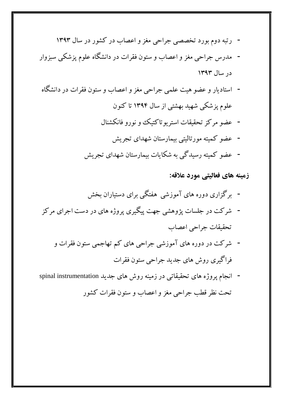- رتبه دوم بورد تخصصی جراحی مغز و اعصاب در کشور در سال 1393
- مدرس جراحی مغز و اعصاب و ستون فقرات در دانشگاه علوم پزشکی سبزوار در سال 1393
- استادیار و عضو هیت علمی جراحی مغز و اعصاب و ستون فقرات در دانشگاه علوم پزشکی شهید بهشتی از سال 1394 تا کنون
	- عضو مرکز تحقیقات استریوتاکتیک و نورو فانکشنال
		- عضو کمیته مورتالیتی بیمارستان شهدای تجریش
	- عضو کمیته رسیدگی به شکایات بیمارستان شهدای تجریش

**زمینه های فعالیتی مورد عالقه:**

- برگزاری دوره های آموزشی هفتگی برای دستیاران بخش - شرکت در جلسات پژوهشی جهت پیگیری پروژه های در دست اجرای مرکز تحقیقات جراحی اعصاب
	- شرکت در دوره های آموزشی جراحی های کم تهاجمی ستون فقرات و فراگیری روش های جدید جراحی ستون فقرات
- انجام پروژه های تحقیقاتی در زمینه روش های جدید instrumentation spinal تحت نظر قطب جراحی مغز و اعصاب و ستون فقرات کشور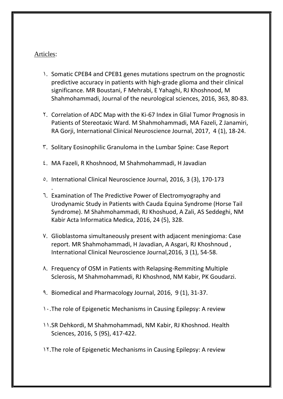## [Articles:](https://www.grammarly.com/blog/articles/)

.

- 1. Somatic CPEB4 and CPEB1 [genes mutations spectrum on the prognostic](https://www.jns-journal.com/article/S0022-510X(16)30097-1/fulltext)  [predictive accuracy in patients with high-grade glioma and their clinical](https://www.jns-journal.com/article/S0022-510X(16)30097-1/fulltext)  [significance.](https://www.jns-journal.com/article/S0022-510X(16)30097-1/fulltext) MR Boustani, F Mehrabi, E Yahaghi, RJ Khoshnood, M Shahmohammadi, Journal of the neurological sciences, 2016, 363, 80-83.
- 2. [Correlation of ADC Map with the Ki-67](javascript:void(0)) Index in Glial Tumor Prognosis in [Patients of Stereotaxic Ward.](javascript:void(0)) M Shahmohammadi, MA Fazeli, Z Janamiri, RA Gorji, International Clinical Neuroscience Journal, 2017, 4 (1), 18-24.
- 3. [Solitary Eosinophilic Granuloma in the Lumbar Spine: Case Report](javascript:void(0))
- 4. MA Fazeli, R Khoshnood, M Shahmohammadi, H Javadian
- 5. International Clinical Neuroscience Journal, 2016, 3 (3), 170-173
- 6. [Examination of The Predictive Power of Electromyography and](javascript:void(0))  [Urodynamic Study in Patients with Cauda Equina Syndrome \(Horse Tail](javascript:void(0))  [Syndrome\).](javascript:void(0)) M Shahmohammadi, RJ Khoshuod, A Zali, AS Seddeghi, NM Kabir Acta Informatica Medica, 2016, 24 (5), 328.
- 7. [Glioblastoma simultaneously present with adjacent meningioma: Case](javascript:void(0))  [report.](javascript:void(0)) MR Shahmohammadi, H Javadian, A Asgari, RJ Khoshnoud , International Clinical Neuroscience Journal,2016, 3 (1), 54-58.
- 8. [Frequency of OSM in Patients with Relapsing-Remmiting Multiple](javascript:void(0))  [Sclerosis,](javascript:void(0)) M Shahmohammadi, RJ Khoshnod, NM Kabir, PK Goudarzi.
- 9. Biomedical and Pharmacology Journal, 2016, 9 (1), 31-37.
- 1. [The role of Epigenetic Mechanisms in Causing Epilepsy: A review](javascript:void(0))
- 11.SR Dehkordi, M Shahmohammadi, NM Kabir, RJ Khoshnod. Health Sciences, 2016, 5 (9S), 417-422.
- 12.[The role of Epigenetic Mechanisms in Causing Epilepsy: A review](javascript:void(0))